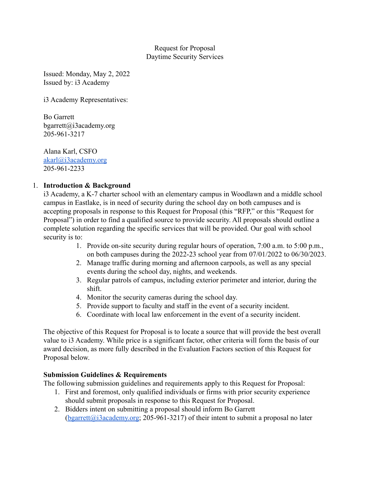### Request for Proposal Daytime Security Services

Issued: Monday, May 2, 2022 Issued by: i3 Academy

i3 Academy Representatives:

Bo Garrett bgarrett@i3academy.org 205-961-3217

Alana Karl, CSFO [akarl@i3academy.org](mailto:akarl@i3academy.org) 205-961-2233

### 1. **Introduction & Background**

i3 Academy, a K-7 charter school with an elementary campus in Woodlawn and a middle school campus in Eastlake, is in need of security during the school day on both campuses and is accepting proposals in response to this Request for Proposal (this "RFP," or this "Request for Proposal") in order to find a qualified source to provide security. All proposals should outline a complete solution regarding the specific services that will be provided. Our goal with school security is to:

- 1. Provide on-site security during regular hours of operation, 7:00 a.m. to 5:00 p.m., on both campuses during the 2022-23 school year from 07/01/2022 to 06/30/2023.
- 2. Manage traffic during morning and afternoon carpools, as well as any special events during the school day, nights, and weekends.
- 3. Regular patrols of campus, including exterior perimeter and interior, during the shift.
- 4. Monitor the security cameras during the school day.
- 5. Provide support to faculty and staff in the event of a security incident.
- 6. Coordinate with local law enforcement in the event of a security incident.

The objective of this Request for Proposal is to locate a source that will provide the best overall value to i3 Academy. While price is a significant factor, other criteria will form the basis of our award decision, as more fully described in the Evaluation Factors section of this Request for Proposal below.

### **Submission Guidelines & Requirements**

The following submission guidelines and requirements apply to this Request for Proposal:

- 1. First and foremost, only qualified individuals or firms with prior security experience should submit proposals in response to this Request for Proposal.
- 2. Bidders intent on submitting a proposal should inform Bo Garrett  $(b$ garrett@i3academy.org; 205-961-3217) of their intent to submit a proposal no later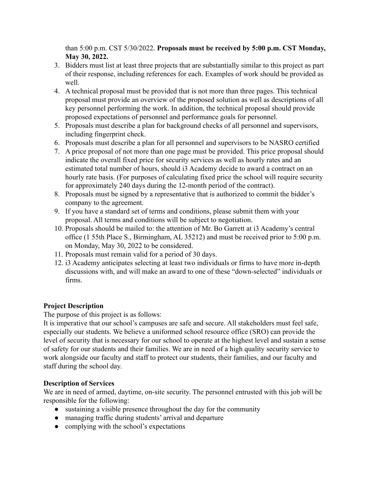than 5:00 p.m. CST 5/30/2022. **Proposals must be received by 5:00 p.m. CST Monday, May 30, 2022.**

- 3. Bidders must list at least three projects that are substantially similar to this project as part of their response, including references for each. Examples of work should be provided as well.
- 4. A technical proposal must be provided that is not more than three pages. This technical proposal must provide an overview of the proposed solution as well as descriptions of all key personnel performing the work. In addition, the technical proposal should provide proposed expectations of personnel and performance goals for personnel.
- 5. Proposals must describe a plan for background checks of all personnel and supervisors, including fingerprint check.
- 6. Proposals must describe a plan for all personnel and supervisors to be NASRO certified
- 7. A price proposal of not more than one page must be provided. This price proposal should indicate the overall fixed price for security services as well as hourly rates and an estimated total number of hours, should i3 Academy decide to award a contract on an hourly rate basis. (For purposes of calculating fixed price the school will require security for approximately 240 days during the 12-month period of the contract).
- 8. Proposals must be signed by a representative that is authorized to commit the bidder's company to the agreement.
- 9. If you have a standard set of terms and conditions, please submit them with your proposal. All terms and conditions will be subject to negotiation.
- 10. Proposals should be mailed to: the attention of Mr. Bo Garrett at i3 Academy's central office (1 55th Place S., Birmingham, AL 35212) and must be received prior to 5:00 p.m. on Monday, May 30, 2022 to be considered.
- 11. Proposals must remain valid for a period of 30 days.
- 12. i3 Academy anticipates selecting at least two individuals or firms to have more in-depth discussions with, and will make an award to one of these "down-selected" individuals or firms.

# **Project Description**

The purpose of this project is as follows:

It is imperative that our school's campuses are safe and secure. All stakeholders must feel safe, especially our students. We believe a uniformed school resource office (SRO) can provide the level of security that is necessary for our school to operate at the highest level and sustain a sense of safety for our students and their families. We are in need of a high quality security service to work alongside our faculty and staff to protect our students, their families, and our faculty and staff during the school day.

### **Description of Services**

We are in need of armed, daytime, on-site security. The personnel entrusted with this job will be responsible for the following:

- sustaining a visible presence throughout the day for the community
- managing traffic during students' arrival and departure
- complying with the school's expectations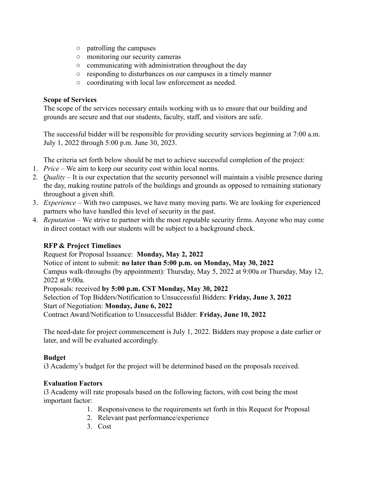- patrolling the campuses
- monitoring our security cameras
- communicating with administration throughout the day
- responding to disturbances on our campuses in a timely manner
- coordinating with local law enforcement as needed.

#### **Scope of Services**

The scope of the services necessary entails working with us to ensure that our building and grounds are secure and that our students, faculty, staff, and visitors are safe.

The successful bidder will be responsible for providing security services beginning at 7:00 a.m. July 1, 2022 through 5:00 p.m. June 30, 2023.

The criteria set forth below should be met to achieve successful completion of the project:

- 1. *Price* We aim to keep our security cost within local norms.
- 2. *Quality* It is our expectation that the security personnel will maintain a visible presence during the day, making routine patrols of the buildings and grounds as opposed to remaining stationary throughout a given shift.
- 3. *Experience* With two campuses, we have many moving parts. We are looking for experienced partners who have handled this level of security in the past.
- 4. *Reputation* We strive to partner with the most reputable security firms. Anyone who may come in direct contact with our students will be subject to a background check.

# **RFP & Project Timelines**

Request for Proposal Issuance: **Monday, May 2, 2022**

Notice of intent to submit: **no later than 5:00 p.m. on Monday, May 30, 2022**

Campus walk-throughs (by appointment): Thursday, May 5, 2022 at 9:00a or Thursday, May 12, 2022 at 9:00a.

Proposals: received **by 5:00 p.m. CST Monday, May 30, 2022**

Selection of Top Bidders/Notification to Unsuccessful Bidders: **Friday, June 3, 2022**

Start of Negotiation: **Monday, June 6, 2022**

Contract Award/Notification to Unsuccessful Bidder: **Friday, June 10, 2022**

The need-date for project commencement is July 1, 2022. Bidders may propose a date earlier or later, and will be evaluated accordingly.

# **Budget**

i3 Academy's budget for the project will be determined based on the proposals received.

# **Evaluation Factors**

i3 Academy will rate proposals based on the following factors, with cost being the most important factor:

- 1. Responsiveness to the requirements set forth in this Request for Proposal
- 2. Relevant past performance/experience
- 3. Cost